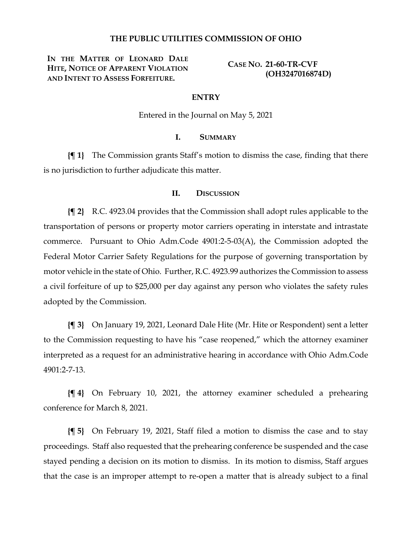## **THE PUBLIC UTILITIES COMMISSION OF OHIO**

**IN THE MATTER OF LEONARD DALE HITE, NOTICE OF APPARENT VIOLATION AND INTENT TO ASSESS FORFEITURE.**

**CASE NO. 21-60-TR-CVF (OH3247016874D)**

#### **ENTRY**

Entered in the Journal on May 5, 2021

# **I. SUMMARY**

**{¶ 1}** The Commission grants Staff's motion to dismiss the case, finding that there is no jurisdiction to further adjudicate this matter.

## **II. DISCUSSION**

**{¶ 2}** R.C. 4923.04 provides that the Commission shall adopt rules applicable to the transportation of persons or property motor carriers operating in interstate and intrastate commerce. Pursuant to Ohio Adm.Code 4901:2-5-03(A), the Commission adopted the Federal Motor Carrier Safety Regulations for the purpose of governing transportation by motor vehicle in the state of Ohio. Further, R.C. 4923.99 authorizes the Commission to assess a civil forfeiture of up to \$25,000 per day against any person who violates the safety rules adopted by the Commission.

**{¶ 3}** On January 19, 2021, Leonard Dale Hite (Mr. Hite or Respondent) sent a letter to the Commission requesting to have his "case reopened," which the attorney examiner interpreted as a request for an administrative hearing in accordance with Ohio Adm.Code 4901:2-7-13.

**{¶ 4}** On February 10, 2021, the attorney examiner scheduled a prehearing conference for March 8, 2021.

**{¶ 5}** On February 19, 2021, Staff filed a motion to dismiss the case and to stay proceedings. Staff also requested that the prehearing conference be suspended and the case stayed pending a decision on its motion to dismiss. In its motion to dismiss, Staff argues that the case is an improper attempt to re-open a matter that is already subject to a final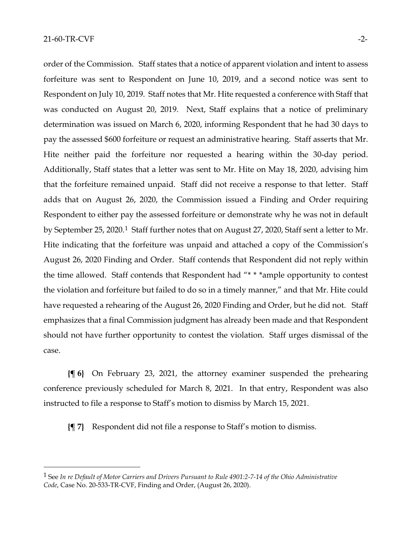order of the Commission. Staff states that a notice of apparent violation and intent to assess forfeiture was sent to Respondent on June 10, 2019, and a second notice was sent to Respondent on July 10, 2019. Staff notes that Mr. Hite requested a conference with Staff that was conducted on August 20, 2019. Next, Staff explains that a notice of preliminary determination was issued on March 6, 2020, informing Respondent that he had 30 days to pay the assessed \$600 forfeiture or request an administrative hearing. Staff asserts that Mr. Hite neither paid the forfeiture nor requested a hearing within the 30-day period. Additionally, Staff states that a letter was sent to Mr. Hite on May 18, 2020, advising him that the forfeiture remained unpaid. Staff did not receive a response to that letter. Staff adds that on August 26, 2020, the Commission issued a Finding and Order requiring Respondent to either pay the assessed forfeiture or demonstrate why he was not in default by September 25, 2020.[1](#page-1-0) Staff further notes that on August 27, 2020, Staff sent a letter to Mr. Hite indicating that the forfeiture was unpaid and attached a copy of the Commission's August 26, 2020 Finding and Order. Staff contends that Respondent did not reply within the time allowed. Staff contends that Respondent had "\* \* \*ample opportunity to contest the violation and forfeiture but failed to do so in a timely manner," and that Mr. Hite could have requested a rehearing of the August 26, 2020 Finding and Order, but he did not. Staff emphasizes that a final Commission judgment has already been made and that Respondent should not have further opportunity to contest the violation. Staff urges dismissal of the case.

**{¶ 6}** On February 23, 2021, the attorney examiner suspended the prehearing conference previously scheduled for March 8, 2021. In that entry, Respondent was also instructed to file a response to Staff's motion to dismiss by March 15, 2021.

**{¶ 7}** Respondent did not file a response to Staff's motion to dismiss.

<span id="page-1-0"></span><sup>1</sup> See *In re Default of Motor Carriers and Drivers Pursuant to Rule 4901:2-7-14 of the Ohio Administrative Code*, Case No. 20-533-TR-CVF, Finding and Order, (August 26, 2020).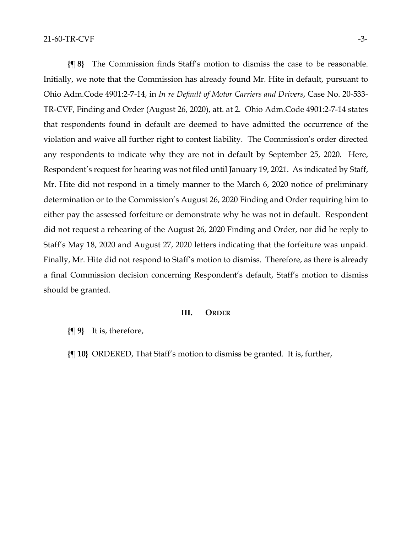**{¶ 8}** The Commission finds Staff's motion to dismiss the case to be reasonable. Initially, we note that the Commission has already found Mr. Hite in default, pursuant to Ohio Adm.Code 4901:2-7-14, in *In re Default of Motor Carriers and Drivers*, Case No. 20-533- TR-CVF, Finding and Order (August 26, 2020), att. at 2. Ohio Adm.Code 4901:2-7-14 states that respondents found in default are deemed to have admitted the occurrence of the violation and waive all further right to contest liability. The Commission's order directed any respondents to indicate why they are not in default by September 25, 2020. Here, Respondent's request for hearing was not filed until January 19, 2021. As indicated by Staff, Mr. Hite did not respond in a timely manner to the March 6, 2020 notice of preliminary determination or to the Commission's August 26, 2020 Finding and Order requiring him to either pay the assessed forfeiture or demonstrate why he was not in default. Respondent did not request a rehearing of the August 26, 2020 Finding and Order, nor did he reply to Staff's May 18, 2020 and August 27, 2020 letters indicating that the forfeiture was unpaid. Finally, Mr. Hite did not respond to Staff's motion to dismiss. Therefore, as there is already a final Commission decision concerning Respondent's default, Staff's motion to dismiss should be granted.

### **III. ORDER**

**{¶ 9}** It is, therefore,

**{¶ 10}** ORDERED, That Staff's motion to dismiss be granted. It is, further,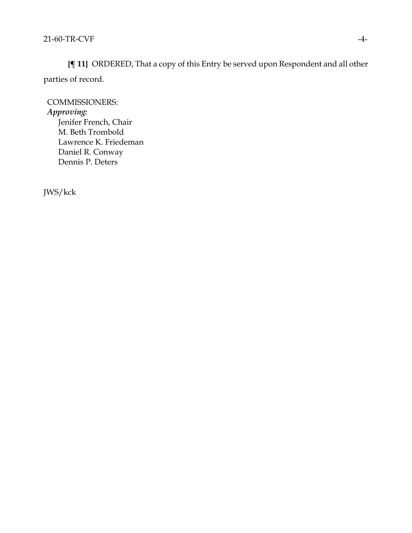**{¶ 11}** ORDERED, That a copy of this Entry be served upon Respondent and all other parties of record.

COMMISSIONERS: *Approving:*  Jenifer French, Chair M. Beth Trombold Lawrence K. Friedeman Daniel R. Conway Dennis P. Deters

JWS/kck